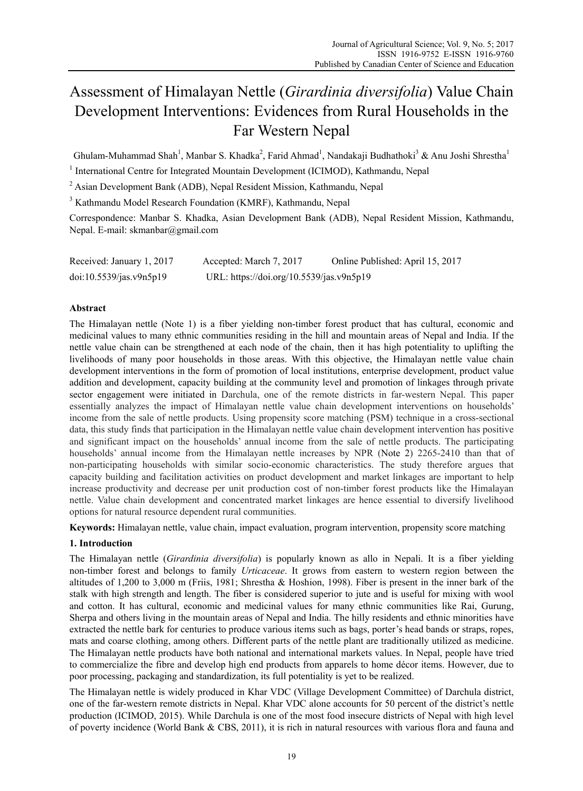# Assessment of Himalayan Nettle (*Girardinia diversifolia*) Value Chain Development Interventions: Evidences from Rural Households in the Far Western Nepal

Ghulam-Muhammad Shah<sup>1</sup>, Manbar S. Khadka<sup>2</sup>, Farid Ahmad<sup>1</sup>, Nandakaji Budhathoki<sup>3</sup> & Anu Joshi Shrestha<sup>1</sup>

<sup>1</sup> International Centre for Integrated Mountain Development (ICIMOD), Kathmandu, Nepal

<sup>2</sup> Asian Development Bank (ADB), Nepal Resident Mission, Kathmandu, Nepal

<sup>3</sup> Kathmandu Model Research Foundation (KMRF), Kathmandu, Nepal

Correspondence: Manbar S. Khadka, Asian Development Bank (ADB), Nepal Resident Mission, Kathmandu, Nepal. E-mail: skmanbar@gmail.com

| Received: January 1, 2017 | Accepted: March 7, 2017                  | Online Published: April 15, 2017 |
|---------------------------|------------------------------------------|----------------------------------|
| doi:10.5539/jas.v9n5p19   | URL: https://doi.org/10.5539/jas.v9n5p19 |                                  |

## **Abstract**

The Himalayan nettle (Note 1) is a fiber yielding non-timber forest product that has cultural, economic and medicinal values to many ethnic communities residing in the hill and mountain areas of Nepal and India. If the nettle value chain can be strengthened at each node of the chain, then it has high potentiality to uplifting the livelihoods of many poor households in those areas. With this objective, the Himalayan nettle value chain development interventions in the form of promotion of local institutions, enterprise development, product value addition and development, capacity building at the community level and promotion of linkages through private sector engagement were initiated in Darchula, one of the remote districts in far-western Nepal. This paper essentially analyzes the impact of Himalayan nettle value chain development interventions on households' income from the sale of nettle products. Using propensity score matching (PSM) technique in a cross-sectional data, this study finds that participation in the Himalayan nettle value chain development intervention has positive and significant impact on the households' annual income from the sale of nettle products. The participating households' annual income from the Himalayan nettle increases by NPR (Note 2) 2265-2410 than that of non-participating households with similar socio-economic characteristics. The study therefore argues that capacity building and facilitation activities on product development and market linkages are important to help increase productivity and decrease per unit production cost of non-timber forest products like the Himalayan nettle. Value chain development and concentrated market linkages are hence essential to diversify livelihood options for natural resource dependent rural communities.

**Keywords:** Himalayan nettle, value chain, impact evaluation, program intervention, propensity score matching

## **1. Introduction**

The Himalayan nettle (*Girardinia diversifolia*) is popularly known as allo in Nepali. It is a fiber yielding non-timber forest and belongs to family *Urticaceae*. It grows from eastern to western region between the altitudes of 1,200 to 3,000 m (Friis, 1981; Shrestha & Hoshion, 1998). Fiber is present in the inner bark of the stalk with high strength and length. The fiber is considered superior to jute and is useful for mixing with wool and cotton. It has cultural, economic and medicinal values for many ethnic communities like Rai, Gurung, Sherpa and others living in the mountain areas of Nepal and India. The hilly residents and ethnic minorities have extracted the nettle bark for centuries to produce various items such as bags, porter's head bands or straps, ropes, mats and coarse clothing, among others. Different parts of the nettle plant are traditionally utilized as medicine. The Himalayan nettle products have both national and international markets values. In Nepal, people have tried to commercialize the fibre and develop high end products from apparels to home décor items. However, due to poor processing, packaging and standardization, its full potentiality is yet to be realized.

The Himalayan nettle is widely produced in Khar VDC (Village Development Committee) of Darchula district, one of the far-western remote districts in Nepal. Khar VDC alone accounts for 50 percent of the district's nettle production (ICIMOD, 2015). While Darchula is one of the most food insecure districts of Nepal with high level of poverty incidence (World Bank & CBS, 2011), it is rich in natural resources with various flora and fauna and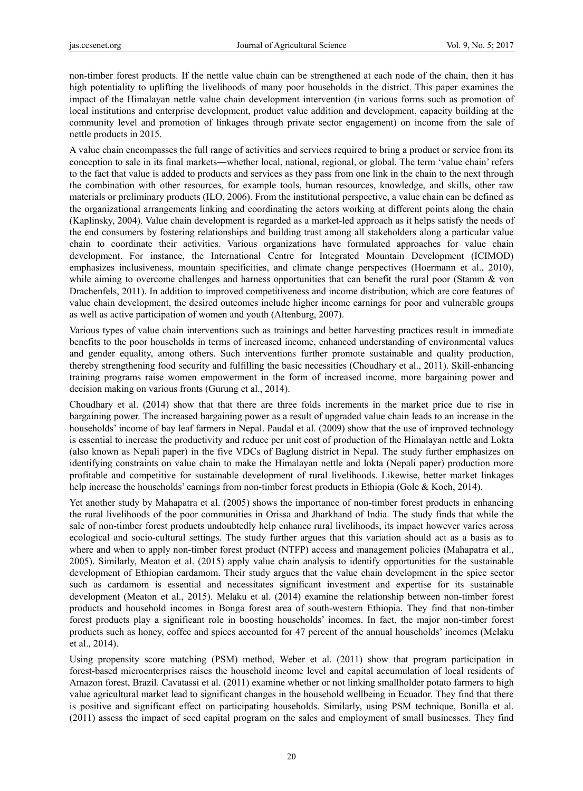non-timber forest products. If the nettle value chain can be strengthened at each node of the chain, then it has high potentiality to uplifting the livelihoods of many poor households in the district. This paper examines the impact of the Himalayan nettle value chain development intervention (in various forms such as promotion of local institutions and enterprise development, product value addition and development, capacity building at the community level and promotion of linkages through private sector engagement) on income from the sale of nettle products in 2015.

A value chain encompasses the full range of activities and services required to bring a product or service from its conception to sale in its final markets―whether local, national, regional, or global. The term 'value chain' refers to the fact that value is added to products and services as they pass from one link in the chain to the next through the combination with other resources, for example tools, human resources, knowledge, and skills, other raw materials or preliminary products (ILO, 2006). From the institutional perspective, a value chain can be defined as the organizational arrangements linking and coordinating the actors working at different points along the chain (Kaplinsky, 2004). Value chain development is regarded as a market-led approach as it helps satisfy the needs of the end consumers by fostering relationships and building trust among all stakeholders along a particular value chain to coordinate their activities. Various organizations have formulated approaches for value chain development. For instance, the International Centre for Integrated Mountain Development (ICIMOD) emphasizes inclusiveness, mountain specificities, and climate change perspectives (Hoermann et al., 2010), while aiming to overcome challenges and harness opportunities that can benefit the rural poor (Stamm & von Drachenfels, 2011). In addition to improved competitiveness and income distribution, which are core features of value chain development, the desired outcomes include higher income earnings for poor and vulnerable groups as well as active participation of women and youth (Altenburg, 2007).

Various types of value chain interventions such as trainings and better harvesting practices result in immediate benefits to the poor households in terms of increased income, enhanced understanding of environmental values and gender equality, among others. Such interventions further promote sustainable and quality production, thereby strengthening food security and fulfilling the basic necessities (Choudhary et al., 2011). Skill-enhancing training programs raise women empowerment in the form of increased income, more bargaining power and decision making on various fronts (Gurung et al., 2014).

Choudhary et al. (2014) show that that there are three folds increments in the market price due to rise in bargaining power. The increased bargaining power as a result of upgraded value chain leads to an increase in the households' income of bay leaf farmers in Nepal. Paudal et al. (2009) show that the use of improved technology is essential to increase the productivity and reduce per unit cost of production of the Himalayan nettle and Lokta (also known as Nepali paper) in the five VDCs of Baglung district in Nepal. The study further emphasizes on identifying constraints on value chain to make the Himalayan nettle and lokta (Nepali paper) production more profitable and competitive for sustainable development of rural livelihoods. Likewise, better market linkages help increase the households' earnings from non-timber forest products in Ethiopia (Gole & Koch, 2014).

Yet another study by Mahapatra et al. (2005) shows the importance of non-timber forest products in enhancing the rural livelihoods of the poor communities in Orissa and Jharkhand of India. The study finds that while the sale of non-timber forest products undoubtedly help enhance rural livelihoods, its impact however varies across ecological and socio-cultural settings. The study further argues that this variation should act as a basis as to where and when to apply non-timber forest product (NTFP) access and management policies (Mahapatra et al., 2005). Similarly, Meaton et al. (2015) apply value chain analysis to identify opportunities for the sustainable development of Ethiopian cardamom. Their study argues that the value chain development in the spice sector such as cardamom is essential and necessitates significant investment and expertise for its sustainable development (Meaton et al., 2015). Melaku et al. (2014) examine the relationship between non-timber forest products and household incomes in Bonga forest area of south-western Ethiopia. They find that non-timber forest products play a significant role in boosting households' incomes. In fact, the major non-timber forest products such as honey, coffee and spices accounted for 47 percent of the annual households' incomes (Melaku et al., 2014).

Using propensity score matching (PSM) method, Weber et al. (2011) show that program participation in forest-based microenterprises raises the household income level and capital accumulation of local residents of Amazon forest, Brazil. Cavatassi et al. (2011) examine whether or not linking smallholder potato farmers to high value agricultural market lead to significant changes in the household wellbeing in Ecuador. They find that there is positive and significant effect on participating households. Similarly, using PSM technique, Bonilla et al. (2011) assess the impact of seed capital program on the sales and employment of small businesses. They find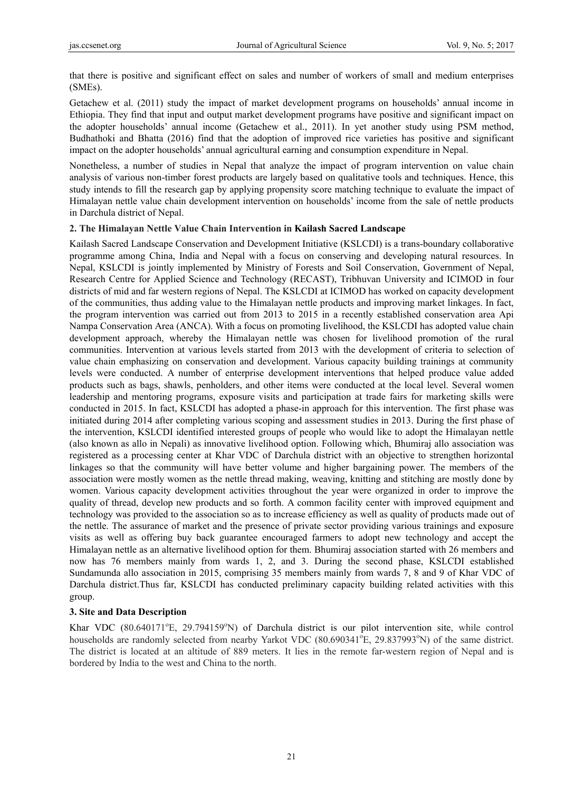that there is positive and significant effect on sales and number of workers of small and medium enterprises (SMEs).

Getachew et al. (2011) study the impact of market development programs on households' annual income in Ethiopia. They find that input and output market development programs have positive and significant impact on the adopter households' annual income (Getachew et al., 2011). In yet another study using PSM method, Budhathoki and Bhatta (2016) find that the adoption of improved rice varieties has positive and significant impact on the adopter households' annual agricultural earning and consumption expenditure in Nepal.

Nonetheless, a number of studies in Nepal that analyze the impact of program intervention on value chain analysis of various non-timber forest products are largely based on qualitative tools and techniques. Hence, this study intends to fill the research gap by applying propensity score matching technique to evaluate the impact of Himalayan nettle value chain development intervention on households' income from the sale of nettle products in Darchula district of Nepal.

## **2. The Himalayan Nettle Value Chain Intervention in Kailash Sacred Landscape**

Kailash Sacred Landscape Conservation and Development Initiative (KSLCDI) is a trans-boundary collaborative programme among China, India and Nepal with a focus on conserving and developing natural resources. In Nepal, KSLCDI is jointly implemented by Ministry of Forests and Soil Conservation, Government of Nepal, Research Centre for Applied Science and Technology (RECAST), Tribhuvan University and ICIMOD in four districts of mid and far western regions of Nepal. The KSLCDI at ICIMOD has worked on capacity development of the communities, thus adding value to the Himalayan nettle products and improving market linkages. In fact, the program intervention was carried out from 2013 to 2015 in a recently established conservation area Api Nampa Conservation Area (ANCA). With a focus on promoting livelihood, the KSLCDI has adopted value chain development approach, whereby the Himalayan nettle was chosen for livelihood promotion of the rural communities. Intervention at various levels started from 2013 with the development of criteria to selection of value chain emphasizing on conservation and development. Various capacity building trainings at community levels were conducted. A number of enterprise development interventions that helped produce value added products such as bags, shawls, penholders, and other items were conducted at the local level. Several women leadership and mentoring programs, exposure visits and participation at trade fairs for marketing skills were conducted in 2015. In fact, KSLCDI has adopted a phase-in approach for this intervention. The first phase was initiated during 2014 after completing various scoping and assessment studies in 2013. During the first phase of the intervention, KSLCDI identified interested groups of people who would like to adopt the Himalayan nettle (also known as allo in Nepali) as innovative livelihood option. Following which, Bhumiraj allo association was registered as a processing center at Khar VDC of Darchula district with an objective to strengthen horizontal linkages so that the community will have better volume and higher bargaining power. The members of the association were mostly women as the nettle thread making, weaving, knitting and stitching are mostly done by women. Various capacity development activities throughout the year were organized in order to improve the quality of thread, develop new products and so forth. A common facility center with improved equipment and technology was provided to the association so as to increase efficiency as well as quality of products made out of the nettle. The assurance of market and the presence of private sector providing various trainings and exposure visits as well as offering buy back guarantee encouraged farmers to adopt new technology and accept the Himalayan nettle as an alternative livelihood option for them. Bhumiraj association started with 26 members and now has 76 members mainly from wards 1, 2, and 3. During the second phase, KSLCDI established Sundamunda allo association in 2015, comprising 35 members mainly from wards 7, 8 and 9 of Khar VDC of Darchula district.Thus far, KSLCDI has conducted preliminary capacity building related activities with this group.

## **3. Site and Data Description**

Khar VDC (80.640171°E, 29.794159°N) of Darchula district is our pilot intervention site, while control households are randomly selected from nearby Yarkot VDC (80.690341°E, 29.837993°N) of the same district. The district is located at an altitude of 889 meters. It lies in the remote far-western region of Nepal and is bordered by India to the west and China to the north.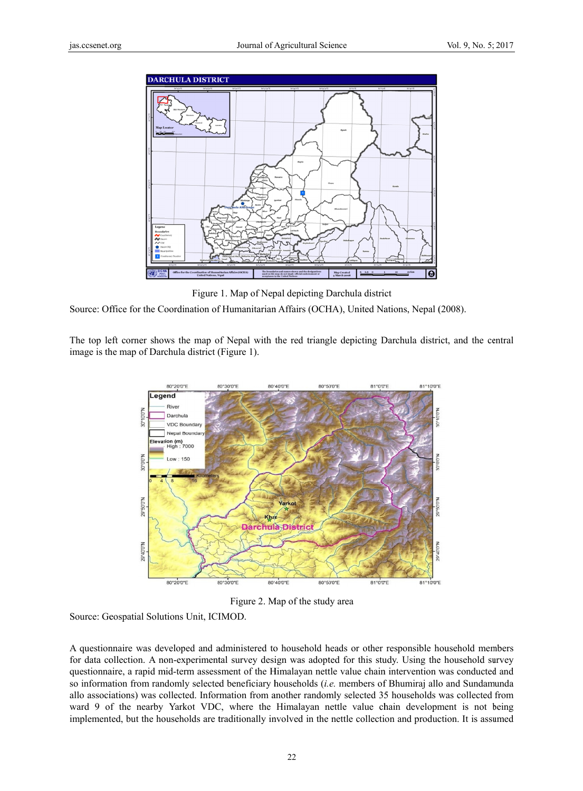

Figure 1. Map of Nepal depicting Darchula district

Source: Office for the Coordination of Humanitarian Affairs (OCHA), United Nations, Nepal (2008).

The top left corner shows the map of Nepal with the red triangle depicting Darchula district, and the central image is the map of Darchula district (Figure 1).



Figure 2. Map of the study area

Source: Geospatial Solutions Unit, ICIMOD.

A questionnaire was developed and administered to household heads or other responsible household members for data collection. A non-experimental survey design was adopted for this study. Using the household survey questionnaire, a rapid mid-term assessment of the Himalayan nettle value chain intervention was conducted and so information from randomly selected beneficiary households (*i.e.* members of Bhumiraj allo and Sundamunda allo associations) was collected. Information from another randomly selected 35 households was collected from ward 9 of the nearby Yarkot VDC, where the Himalayan nettle value chain development is not being implemented, but the households are traditionally involved in the nettle collection and production. It is assumed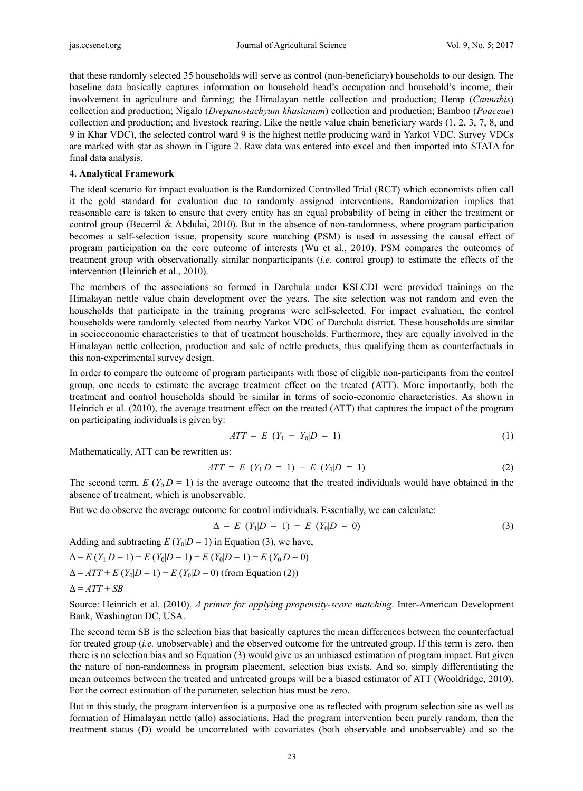that these randomly selected 35 households will serve as control (non-beneficiary) households to our design. The baseline data basically captures information on household head's occupation and household's income; their involvement in agriculture and farming; the Himalayan nettle collection and production; Hemp (*Cannabis*) collection and production; Nigalo (*Drepanostachyum khasianum*) collection and production; Bamboo (*Poaceae*) collection and production; and livestock rearing. Like the nettle value chain beneficiary wards (1, 2, 3, 7, 8, and 9 in Khar VDC), the selected control ward 9 is the highest nettle producing ward in Yarkot VDC. Survey VDCs are marked with star as shown in Figure 2. Raw data was entered into excel and then imported into STATA for final data analysis.

#### **4. Analytical Framework**

The ideal scenario for impact evaluation is the Randomized Controlled Trial (RCT) which economists often call it the gold standard for evaluation due to randomly assigned interventions. Randomization implies that reasonable care is taken to ensure that every entity has an equal probability of being in either the treatment or control group (Becerril & Abdulai, 2010). But in the absence of non-randomness, where program participation becomes a self-selection issue, propensity score matching (PSM) is used in assessing the causal effect of program participation on the core outcome of interests (Wu et al., 2010). PSM compares the outcomes of treatment group with observationally similar nonparticipants (*i.e.* control group) to estimate the effects of the intervention (Heinrich et al., 2010).

The members of the associations so formed in Darchula under KSLCDI were provided trainings on the Himalayan nettle value chain development over the years. The site selection was not random and even the households that participate in the training programs were self-selected. For impact evaluation, the control households were randomly selected from nearby Yarkot VDC of Darchula district. These households are similar in socioeconomic characteristics to that of treatment households. Furthermore, they are equally involved in the Himalayan nettle collection, production and sale of nettle products, thus qualifying them as counterfactuals in this non-experimental survey design.

In order to compare the outcome of program participants with those of eligible non-participants from the control group, one needs to estimate the average treatment effect on the treated (ATT). More importantly, both the treatment and control households should be similar in terms of socio-economic characteristics. As shown in Heinrich et al. (2010), the average treatment effect on the treated (ATT) that captures the impact of the program on participating individuals is given by:

$$
ATT = E (Y_1 - Y_0 | D = 1)
$$
 (1)

Mathematically, ATT can be rewritten as:

$$
ATT = E (Y_1 | D = 1) - E (Y_0 | D = 1)
$$
 (2)

The second term,  $E(Y_0|D = 1)$  is the average outcome that the treated individuals would have obtained in the absence of treatment, which is unobservable.

But we do observe the average outcome for control individuals. Essentially, we can calculate:

$$
\Delta = E \ (Y_1 | D = 1) - E \ (Y_0 | D = 0) \tag{3}
$$

Adding and subtracting  $E(Y_0|D = 1)$  in Equation (3), we have,

$$
\Delta = E(Y_1|D = 1) - E(Y_0|D = 1) + E(Y_0|D = 1) - E(Y_0|D = 0)
$$
  

$$
\Delta = ATT + E(Y_0|D = 1) - E(Y_0|D = 0)
$$
 (from Equation (2))

$$
\Delta = ATT + SB
$$

Source: Heinrich et al. (2010). *A primer for applying propensity-score matching*. Inter-American Development Bank, Washington DC, USA.

The second term SB is the selection bias that basically captures the mean differences between the counterfactual for treated group (*i.e.* unobservable) and the observed outcome for the untreated group. If this term is zero, then there is no selection bias and so Equation (3) would give us an unbiased estimation of program impact. But given the nature of non-randomness in program placement, selection bias exists. And so, simply differentiating the mean outcomes between the treated and untreated groups will be a biased estimator of ATT (Wooldridge, 2010). For the correct estimation of the parameter, selection bias must be zero.

But in this study, the program intervention is a purposive one as reflected with program selection site as well as formation of Himalayan nettle (allo) associations. Had the program intervention been purely random, then the treatment status (D) would be uncorrelated with covariates (both observable and unobservable) and so the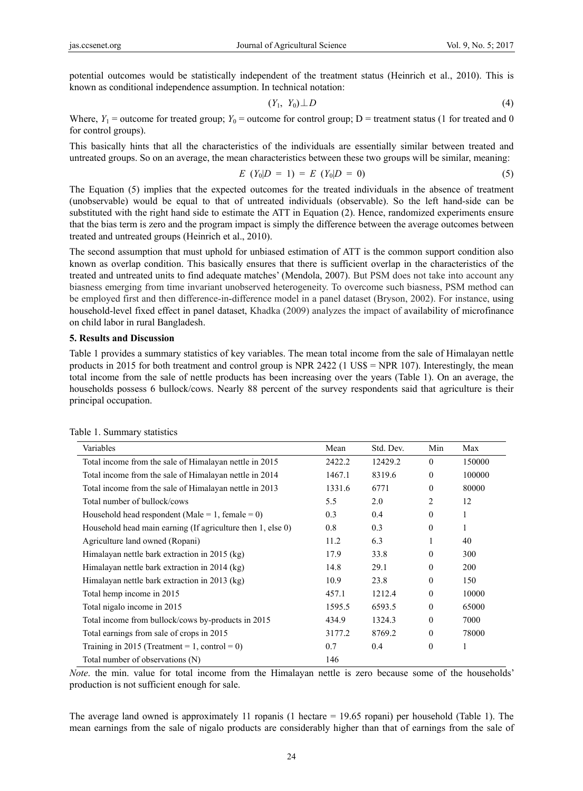potential outcomes would be statistically independent of the treatment status (Heinrich et al., 2010). This is known as conditional independence assumption. In technical notation:

$$
(Y_1, Y_0) \perp D \tag{4}
$$

Where,  $Y_1$  = outcome for treated group;  $Y_0$  = outcome for control group; D = treatment status (1 for treated and 0 for control groups).

This basically hints that all the characteristics of the individuals are essentially similar between treated and untreated groups. So on an average, the mean characteristics between these two groups will be similar, meaning:

$$
E(Y_0|D = 1) = E(Y_0|D = 0)
$$
\n(5)

The Equation (5) implies that the expected outcomes for the treated individuals in the absence of treatment (unobservable) would be equal to that of untreated individuals (observable). So the left hand-side can be substituted with the right hand side to estimate the ATT in Equation (2). Hence, randomized experiments ensure that the bias term is zero and the program impact is simply the difference between the average outcomes between treated and untreated groups (Heinrich et al., 2010).

The second assumption that must uphold for unbiased estimation of ATT is the common support condition also known as overlap condition. This basically ensures that there is sufficient overlap in the characteristics of the treated and untreated units to find adequate matches' (Mendola, 2007). But PSM does not take into account any biasness emerging from time invariant unobserved heterogeneity. To overcome such biasness, PSM method can be employed first and then difference-in-difference model in a panel dataset (Bryson, 2002). For instance, using household-level fixed effect in panel dataset, Khadka (2009) analyzes the impact of availability of microfinance on child labor in rural Bangladesh.

#### **5. Results and Discussion**

Table 1 provides a summary statistics of key variables. The mean total income from the sale of Himalayan nettle products in 2015 for both treatment and control group is NPR 2422 (1 US\$ = NPR 107). Interestingly, the mean total income from the sale of nettle products has been increasing over the years (Table 1). On an average, the households possess 6 bullock/cows. Nearly 88 percent of the survey respondents said that agriculture is their principal occupation.

| Variables                                                   | Mean   | Std. Dev. | Min          | Max    |
|-------------------------------------------------------------|--------|-----------|--------------|--------|
| Total income from the sale of Himalayan nettle in 2015      | 2422.2 | 12429.2   | $\theta$     | 150000 |
| Total income from the sale of Himalayan nettle in 2014      | 1467.1 | 8319.6    | $\theta$     | 100000 |
| Total income from the sale of Himalayan nettle in 2013      | 1331.6 | 6771      | $\mathbf{0}$ | 80000  |
| Total number of bullock/cows                                | 5.5    | 2.0       | 2            | 12     |
| Household head respondent (Male = 1, female = 0)            | 0.3    | 0.4       | $\theta$     | 1      |
| Household head main earning (If agriculture then 1, else 0) | 0.8    | 0.3       | $\mathbf{0}$ | 1      |
| Agriculture land owned (Ropani)                             | 11.2   | 6.3       | 1            | 40     |
| Himalayan nettle bark extraction in 2015 (kg)               | 17.9   | 33.8      | $\theta$     | 300    |
| Himalayan nettle bark extraction in 2014 (kg)               | 14.8   | 29.1      | $\theta$     | 200    |
| Himalayan nettle bark extraction in 2013 (kg)               | 10.9   | 23.8      | $\theta$     | 150    |
| Total hemp income in 2015                                   | 457.1  | 1212.4    | $\mathbf{0}$ | 10000  |
| Total nigalo income in 2015                                 | 1595.5 | 6593.5    | $\Omega$     | 65000  |
| Total income from bullock/cows by-products in 2015          | 434.9  | 1324.3    | $\Omega$     | 7000   |
| Total earnings from sale of crops in 2015                   | 3177.2 | 8769.2    | $\theta$     | 78000  |
| Training in 2015 (Treatment = 1, control = 0)               | 0.7    | 0.4       | $\mathbf{0}$ | 1      |
| Total number of observations (N)                            | 146    |           |              |        |

Table 1. Summary statistics

*Note*. the min. value for total income from the Himalayan nettle is zero because some of the households' production is not sufficient enough for sale.

The average land owned is approximately 11 ropanis (1 hectare  $= 19.65$  ropani) per household (Table 1). The mean earnings from the sale of nigalo products are considerably higher than that of earnings from the sale of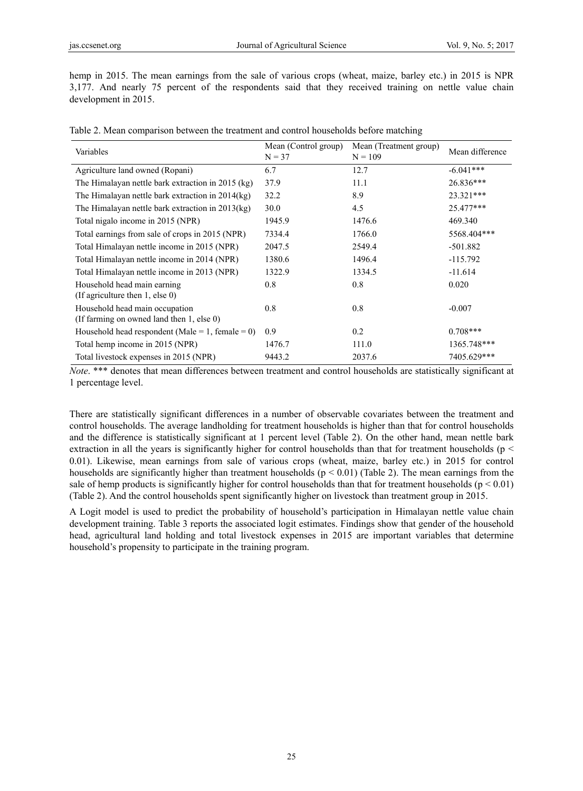hemp in 2015. The mean earnings from the sale of various crops (wheat, maize, barley etc.) in 2015 is NPR 3,177. And nearly 75 percent of the respondents said that they received training on nettle value chain development in 2015.

| Variables                                                                   | Mean (Control group)<br>$N = 37$ | Mean (Treatment group)<br>$N = 109$ | Mean difference |  |
|-----------------------------------------------------------------------------|----------------------------------|-------------------------------------|-----------------|--|
| Agriculture land owned (Ropani)                                             | 6.7                              | 12.7                                | $-6.041***$     |  |
| The Himalayan nettle bark extraction in 2015 (kg)                           | 37.9                             | 11.1                                | 26.836***       |  |
| The Himalayan nettle bark extraction in 2014(kg)                            | 32.2                             | 8.9                                 | 23.321***       |  |
| The Himalayan nettle bark extraction in 2013(kg)                            | 30.0                             | 4.5                                 | 25.477***       |  |
| Total nigalo income in 2015 (NPR)                                           | 1945.9                           | 1476.6                              | 469.340         |  |
| Total earnings from sale of crops in 2015 (NPR)                             | 7334.4                           | 1766.0                              | 5568.404***     |  |
| Total Himalayan nettle income in 2015 (NPR)                                 | 2047.5                           | 2549.4                              | $-501.882$      |  |
| Total Himalayan nettle income in 2014 (NPR)                                 | 1380.6                           | 1496.4                              | $-115.792$      |  |
| Total Himalayan nettle income in 2013 (NPR)                                 | 1322.9                           | 1334.5                              | $-11.614$       |  |
| Household head main earning<br>(If agriculture then $1$ , else 0)           | 0.8                              | 0.8                                 | 0.020           |  |
| Household head main occupation<br>(If farming on owned land then 1, else 0) | 0.8                              | 0.8                                 | $-0.007$        |  |
| Household head respondent (Male = 1, female = 0)                            | 0.9                              | 0.2                                 | $0.708***$      |  |
| Total hemp income in 2015 (NPR)                                             | 1476.7                           | 111.0                               | 1365.748***     |  |
| Total livestock expenses in 2015 (NPR)                                      | 9443.2                           | 2037.6                              | 7405.629***     |  |

*Note*. \*\*\* denotes that mean differences between treatment and control households are statistically significant at 1 percentage level.

There are statistically significant differences in a number of observable covariates between the treatment and control households. The average landholding for treatment households is higher than that for control households and the difference is statistically significant at 1 percent level (Table 2). On the other hand, mean nettle bark extraction in all the years is significantly higher for control households than that for treatment households ( $p <$ 0.01). Likewise, mean earnings from sale of various crops (wheat, maize, barley etc.) in 2015 for control households are significantly higher than treatment households ( $p < 0.01$ ) (Table 2). The mean earnings from the sale of hemp products is significantly higher for control households than that for treatment households ( $p < 0.01$ ) (Table 2). And the control households spent significantly higher on livestock than treatment group in 2015.

A Logit model is used to predict the probability of household's participation in Himalayan nettle value chain development training. Table 3 reports the associated logit estimates. Findings show that gender of the household head, agricultural land holding and total livestock expenses in 2015 are important variables that determine household's propensity to participate in the training program.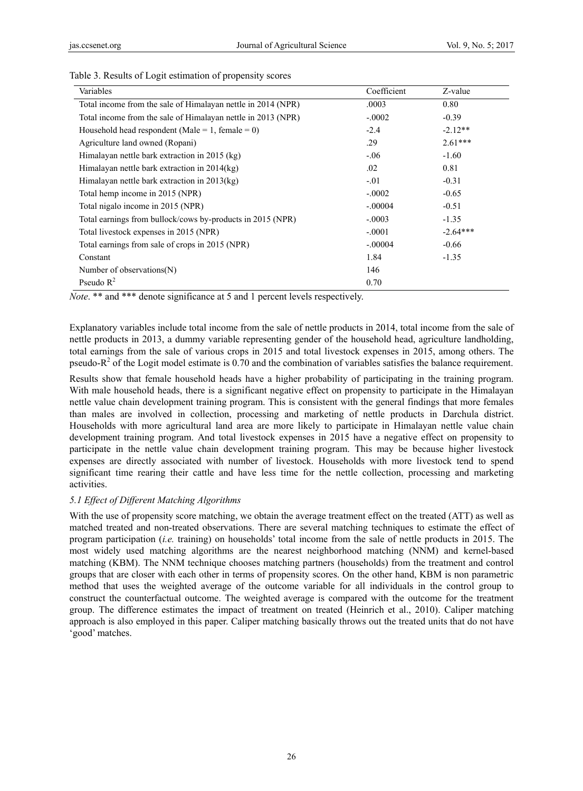| Variables                                                    | Coefficient | Z-value    |
|--------------------------------------------------------------|-------------|------------|
| Total income from the sale of Himalayan nettle in 2014 (NPR) | .0003       | 0.80       |
| Total income from the sale of Himalayan nettle in 2013 (NPR) | $-.0002$    | $-0.39$    |
| Household head respondent (Male = 1, female = 0)             | $-2.4$      | $-2.12**$  |
| Agriculture land owned (Ropani)                              | .29         | $2.61***$  |
| Himalayan nettle bark extraction in 2015 (kg)                | $-.06$      | $-1.60$    |
| Himalayan nettle bark extraction in $2014\text{(kg)}$        | .02         | 0.81       |
| Himalayan nettle bark extraction in $2013\,(kg)$             | $-.01$      | $-0.31$    |
| Total hemp income in 2015 (NPR)                              | $-.0002$    | $-0.65$    |
| Total nigalo income in 2015 (NPR)                            | $-.00004$   | $-0.51$    |
| Total earnings from bullock/cows by-products in 2015 (NPR)   | $-.0003$    | $-1.35$    |
| Total livestock expenses in 2015 (NPR)                       | $-.0001$    | $-2.64***$ |
| Total earnings from sale of crops in 2015 (NPR)              | $-.00004$   | $-0.66$    |
| Constant                                                     | 1.84        | $-1.35$    |
| Number of observations $(N)$                                 | 146         |            |
| Pseudo $R^2$                                                 | 0.70        |            |

#### Table 3. Results of Logit estimation of propensity scores

*Note*. \*\* and \*\*\* denote significance at 5 and 1 percent levels respectively.

Explanatory variables include total income from the sale of nettle products in 2014, total income from the sale of nettle products in 2013, a dummy variable representing gender of the household head, agriculture landholding, total earnings from the sale of various crops in 2015 and total livestock expenses in 2015, among others. The pseudo- $R^2$  of the Logit model estimate is 0.70 and the combination of variables satisfies the balance requirement.

Results show that female household heads have a higher probability of participating in the training program. With male household heads, there is a significant negative effect on propensity to participate in the Himalayan nettle value chain development training program. This is consistent with the general findings that more females than males are involved in collection, processing and marketing of nettle products in Darchula district. Households with more agricultural land area are more likely to participate in Himalayan nettle value chain development training program. And total livestock expenses in 2015 have a negative effect on propensity to participate in the nettle value chain development training program. This may be because higher livestock expenses are directly associated with number of livestock. Households with more livestock tend to spend significant time rearing their cattle and have less time for the nettle collection, processing and marketing activities.

## *5.1 Effect of Different Matching Algorithms*

With the use of propensity score matching, we obtain the average treatment effect on the treated (ATT) as well as matched treated and non-treated observations. There are several matching techniques to estimate the effect of program participation (*i.e.* training) on households' total income from the sale of nettle products in 2015. The most widely used matching algorithms are the nearest neighborhood matching (NNM) and kernel-based matching (KBM). The NNM technique chooses matching partners (households) from the treatment and control groups that are closer with each other in terms of propensity scores. On the other hand, KBM is non parametric method that uses the weighted average of the outcome variable for all individuals in the control group to construct the counterfactual outcome. The weighted average is compared with the outcome for the treatment group. The difference estimates the impact of treatment on treated (Heinrich et al., 2010). Caliper matching approach is also employed in this paper. Caliper matching basically throws out the treated units that do not have 'good' matches.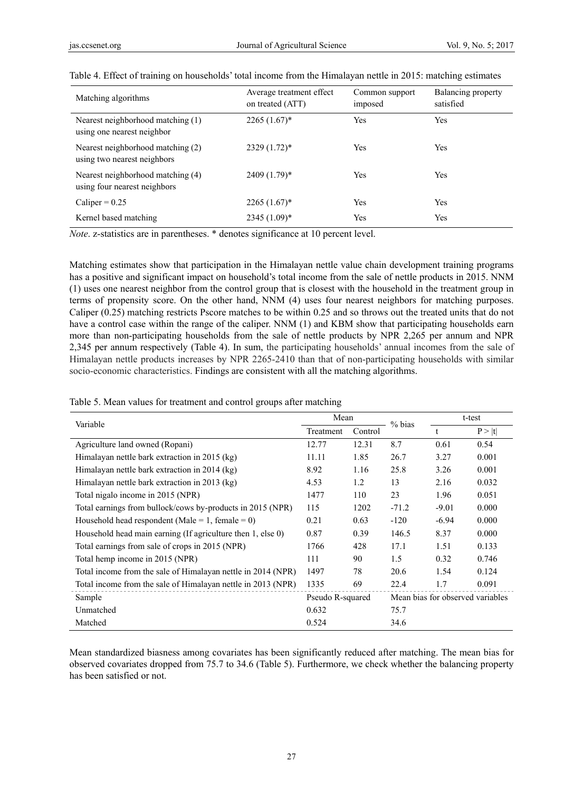| Matching algorithms                                               | Average treatment effect<br>on treated (ATT) | Common support<br>imposed | Balancing property<br>satisfied |
|-------------------------------------------------------------------|----------------------------------------------|---------------------------|---------------------------------|
| Nearest neighborhood matching (1)<br>using one nearest neighbor   | $2265(1.67)^*$                               | Yes                       | Yes                             |
| Nearest neighborhood matching (2)<br>using two nearest neighbors  | $2329(1.72)^*$                               | Yes                       | Yes                             |
| Nearest neighborhood matching (4)<br>using four nearest neighbors | 2409 (1.79)*                                 | Yes                       | Yes                             |
| Caliper = $0.25$                                                  | $2265(1.67)^*$                               | Yes                       | Yes                             |
| Kernel based matching                                             | $2345(1.09)*$                                | Yes                       | Yes                             |

|  |  |  | Table 4. Effect of training on households' total income from the Himalayan nettle in 2015: matching estimates |
|--|--|--|---------------------------------------------------------------------------------------------------------------|
|  |  |  |                                                                                                               |

*Note*. z-statistics are in parentheses. \* denotes significance at 10 percent level.

Matching estimates show that participation in the Himalayan nettle value chain development training programs has a positive and significant impact on household's total income from the sale of nettle products in 2015. NNM (1) uses one nearest neighbor from the control group that is closest with the household in the treatment group in terms of propensity score. On the other hand, NNM (4) uses four nearest neighbors for matching purposes. Caliper (0.25) matching restricts Pscore matches to be within 0.25 and so throws out the treated units that do not have a control case within the range of the caliper. NNM (1) and KBM show that participating households earn more than non-participating households from the sale of nettle products by NPR 2,265 per annum and NPR 2,345 per annum respectively (Table 4). In sum, the participating households' annual incomes from the sale of Himalayan nettle products increases by NPR 2265-2410 than that of non-participating households with similar socio-economic characteristics. Findings are consistent with all the matching algorithms.

|  |  |  |  |  | Table 5. Mean values for treatment and control groups after matching |
|--|--|--|--|--|----------------------------------------------------------------------|
|  |  |  |  |  |                                                                      |

| Variable                                                     | Mean             |         | % bias                           | t-test  |        |
|--------------------------------------------------------------|------------------|---------|----------------------------------|---------|--------|
|                                                              | Treatment        | Control |                                  | t       | P >  t |
| Agriculture land owned (Ropani)                              | 12.77            | 12.31   | 8.7                              | 0.61    | 0.54   |
| Himalayan nettle bark extraction in 2015 (kg)                | 11.11            | 1.85    | 26.7                             | 3.27    | 0.001  |
| Himalayan nettle bark extraction in 2014 (kg)                | 8.92             | 1.16    | 25.8                             | 3.26    | 0.001  |
| Himalayan nettle bark extraction in 2013 (kg)                | 4.53             | 1.2     | 13                               | 2.16    | 0.032  |
| Total nigalo income in 2015 (NPR)                            | 1477             | 110     | 23                               | 1.96    | 0.051  |
| Total earnings from bullock/cows by-products in 2015 (NPR)   | 115              | 1202    | $-71.2$                          | $-9.01$ | 0.000  |
| Household head respondent (Male = 1, female = 0)             | 0.21             | 0.63    | $-120$                           | $-6.94$ | 0.000  |
| Household head main earning (If agriculture then 1, else 0)  | 0.87             | 0.39    | 146.5                            | 8.37    | 0.000  |
| Total earnings from sale of crops in 2015 (NPR)              | 1766             | 428     | 17.1                             | 1.51    | 0.133  |
| Total hemp income in 2015 (NPR)                              | 111              | 90      | 1.5                              | 0.32    | 0.746  |
| Total income from the sale of Himalayan nettle in 2014 (NPR) | 1497             | 78      | 20.6                             | 1.54    | 0.124  |
| Total income from the sale of Himalayan nettle in 2013 (NPR) | 1335             | 69      | 22.4                             | 1.7     | 0.091  |
| Sample                                                       | Pseudo R-squared |         | Mean bias for observed variables |         |        |
| Unmatched                                                    | 0.632            |         | 75.7                             |         |        |
| Matched                                                      | 0.524            |         | 34.6                             |         |        |

Mean standardized biasness among covariates has been significantly reduced after matching. The mean bias for observed covariates dropped from 75.7 to 34.6 (Table 5). Furthermore, we check whether the balancing property has been satisfied or not.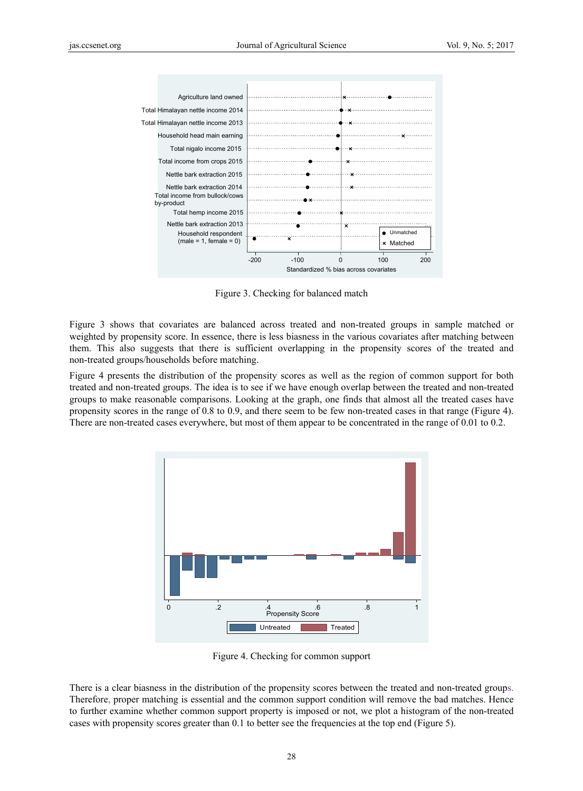

Figure 3. Checking for balanced match

Figure 3 shows that covariates are balanced across treated and non-treated groups in sample matched or weighted by propensity score. In essence, there is less biasness in the various covariates after matching between them. This also suggests that there is sufficient overlapping in the propensity scores of the treated and non-treated groups/households before matching.

Figure 4 presents the distribution of the propensity scores as well as the region of common support for both treated and non-treated groups. The idea is to see if we have enough overlap between the treated and non-treated groups to make reasonable comparisons. Looking at the graph, one finds that almost all the treated cases have propensity scores in the range of 0.8 to 0.9, and there seem to be few non-treated cases in that range (Figure 4). There are non-treated cases everywhere, but most of them appear to be concentrated in the range of 0.01 to 0.2.



Figure 4. Checking for common support

There is a clear biasness in the distribution of the propensity scores between the treated and non-treated groups. Therefore, proper matching is essential and the common support condition will remove the bad matches. Hence to further examine whether common support property is imposed or not, we plot a histogram of the non-treated cases with propensity scores greater than 0.1 to better see the frequencies at the top end (Figure 5).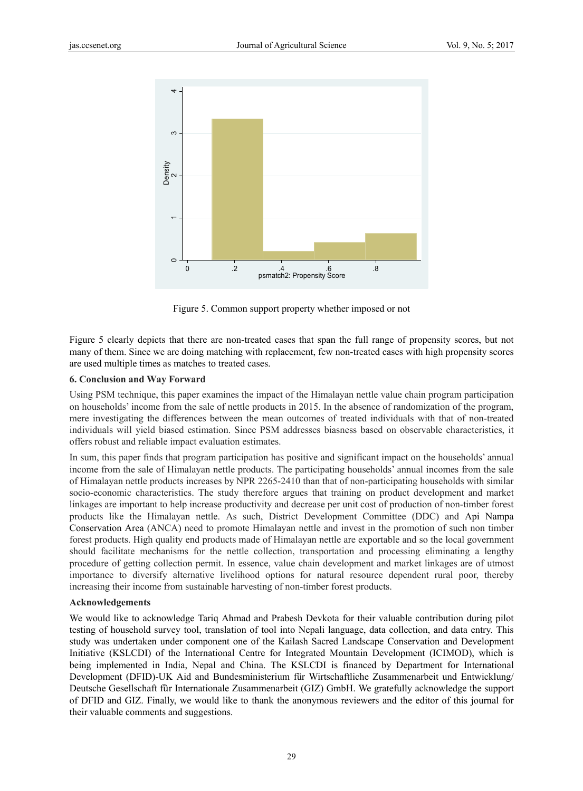

Figure 5. Common support property whether imposed or not

Figure 5 clearly depicts that there are non-treated cases that span the full range of propensity scores, but not many of them. Since we are doing matching with replacement, few non-treated cases with high propensity scores are used multiple times as matches to treated cases.

#### **6. Conclusion and Way Forward**

Using PSM technique, this paper examines the impact of the Himalayan nettle value chain program participation on households' income from the sale of nettle products in 2015. In the absence of randomization of the program, mere investigating the differences between the mean outcomes of treated individuals with that of non-treated individuals will yield biased estimation. Since PSM addresses biasness based on observable characteristics, it offers robust and reliable impact evaluation estimates.

In sum, this paper finds that program participation has positive and significant impact on the households' annual income from the sale of Himalayan nettle products. The participating households' annual incomes from the sale of Himalayan nettle products increases by NPR 2265-2410 than that of non-participating households with similar socio-economic characteristics. The study therefore argues that training on product development and market linkages are important to help increase productivity and decrease per unit cost of production of non-timber forest products like the Himalayan nettle. As such, District Development Committee (DDC) and Api Nampa Conservation Area (ANCA) need to promote Himalayan nettle and invest in the promotion of such non timber forest products. High quality end products made of Himalayan nettle are exportable and so the local government should facilitate mechanisms for the nettle collection, transportation and processing eliminating a lengthy procedure of getting collection permit. In essence, value chain development and market linkages are of utmost importance to diversify alternative livelihood options for natural resource dependent rural poor, thereby increasing their income from sustainable harvesting of non-timber forest products.

#### **Acknowledgements**

We would like to acknowledge Tariq Ahmad and Prabesh Devkota for their valuable contribution during pilot testing of household survey tool, translation of tool into Nepali language, data collection, and data entry. This study was undertaken under component one of the Kailash Sacred Landscape Conservation and Development Initiative (KSLCDI) of the International Centre for Integrated Mountain Development (ICIMOD), which is being implemented in India, Nepal and China. The KSLCDI is financed by Department for International Development (DFID)-UK Aid and Bundesministerium für Wirtschaftliche Zusammenarbeit und Entwicklung/ Deutsche Gesellschaft für Internationale Zusammenarbeit (GIZ) GmbH. We gratefully acknowledge the support of DFID and GIZ. Finally, we would like to thank the anonymous reviewers and the editor of this journal for their valuable comments and suggestions.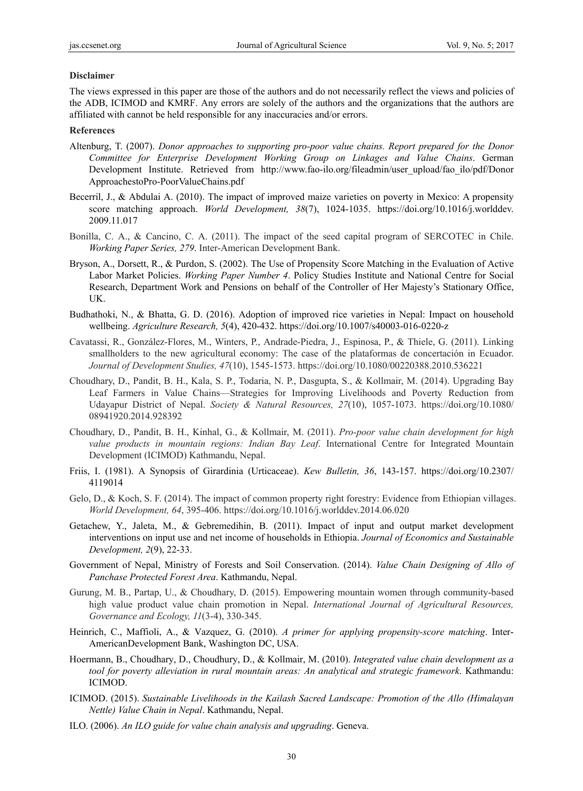#### **Disclaimer**

The views expressed in this paper are those of the authors and do not necessarily reflect the views and policies of the ADB, ICIMOD and KMRF. Any errors are solely of the authors and the organizations that the authors are affiliated with cannot be held responsible for any inaccuracies and/or errors.

#### **References**

- Altenburg, T. (2007). *Donor approaches to supporting pro-poor value chains. Report prepared for the Donor Committee for Enterprise Development Working Group on Linkages and Value Chains*. German Development Institute. Retrieved from http://www.fao-ilo.org/fileadmin/user\_upload/fao\_ilo/pdf/Donor ApproachestoPro-PoorValueChains.pdf
- Becerril, J., & Abdulai A. (2010). The impact of improved maize varieties on poverty in Mexico: A propensity score matching approach. *World Development, 38*(7), 1024-1035. https://doi.org/10.1016/j.worlddev. 2009.11.017
- Bonilla, C. A., & Cancino, C. A. (2011). The impact of the seed capital program of SERCOTEC in Chile. *Working Paper Series, 279*. Inter-American Development Bank.
- Bryson, A., Dorsett, R., & Purdon, S. (2002). The Use of Propensity Score Matching in the Evaluation of Active Labor Market Policies. *Working Paper Number 4*. Policy Studies Institute and National Centre for Social Research, Department Work and Pensions on behalf of the Controller of Her Majesty's Stationary Office, UK.
- Budhathoki, N., & Bhatta, G. D. (2016). Adoption of improved rice varieties in Nepal: Impact on household wellbeing. *Agriculture Research, 5*(4), 420-432. https://doi.org/10.1007/s40003-016-0220-z
- Cavatassi, R., González-Flores, M., Winters, P., Andrade-Piedra, J., Espinosa, P., & Thiele, G. (2011). Linking smallholders to the new agricultural economy: The case of the plataformas de concertación in Ecuador. *Journal of Development Studies, 47*(10), 1545-1573. https://doi.org/10.1080/00220388.2010.536221
- Choudhary, D., Pandit, B. H., Kala, S. P., Todaria, N. P., Dasgupta, S., & Kollmair, M. (2014). Upgrading Bay Leaf Farmers in Value Chains—Strategies for Improving Livelihoods and Poverty Reduction from Udayapur District of Nepal. *Society & Natural Resources, 27*(10), 1057-1073. https://doi.org/10.1080/ 08941920.2014.928392
- Choudhary, D., Pandit, B. H., Kinhal, G., & Kollmair, M. (2011). *Pro-poor value chain development for high value products in mountain regions: Indian Bay Leaf*. International Centre for Integrated Mountain Development (ICIMOD) Kathmandu, Nepal.
- Friis, I. (1981). A Synopsis of Girardinia (Urticaceae). *Kew Bulletin, 36*, 143-157. https://doi.org/10.2307/ 4119014
- Gelo, D., & Koch, S. F. (2014). The impact of common property right forestry: Evidence from Ethiopian villages. *World Development, 64*, 395-406. https://doi.org/10.1016/j.worlddev.2014.06.020
- Getachew, Y., Jaleta, M., & Gebremedihin, B. (2011). Impact of input and output market development interventions on input use and net income of households in Ethiopia. *Journal of Economics and Sustainable Development, 2*(9), 22-33.
- Government of Nepal, Ministry of Forests and Soil Conservation. (2014). *Value Chain Designing of Allo of Panchase Protected Forest Area*. Kathmandu, Nepal.
- Gurung, M. B., Partap, U., & Choudhary, D. (2015). Empowering mountain women through community-based high value product value chain promotion in Nepal. *International Journal of Agricultural Resources, Governance and Ecology, 11*(3-4), 330-345.
- Heinrich, C., Maffioli, A., & Vazquez, G. (2010). *A primer for applying propensity-score matching*. Inter-AmericanDevelopment Bank, Washington DC, USA.
- Hoermann, B., Choudhary, D., Choudhury, D., & Kollmair, M. (2010). *Integrated value chain development as a tool for poverty alleviation in rural mountain areas: An analytical and strategic framework*. Kathmandu: ICIMOD.
- ICIMOD. (2015). *Sustainable Livelihoods in the Kailash Sacred Landscape: Promotion of the Allo (Himalayan Nettle) Value Chain in Nepal*. Kathmandu, Nepal.
- ILO. (2006). *An ILO guide for value chain analysis and upgrading*. Geneva.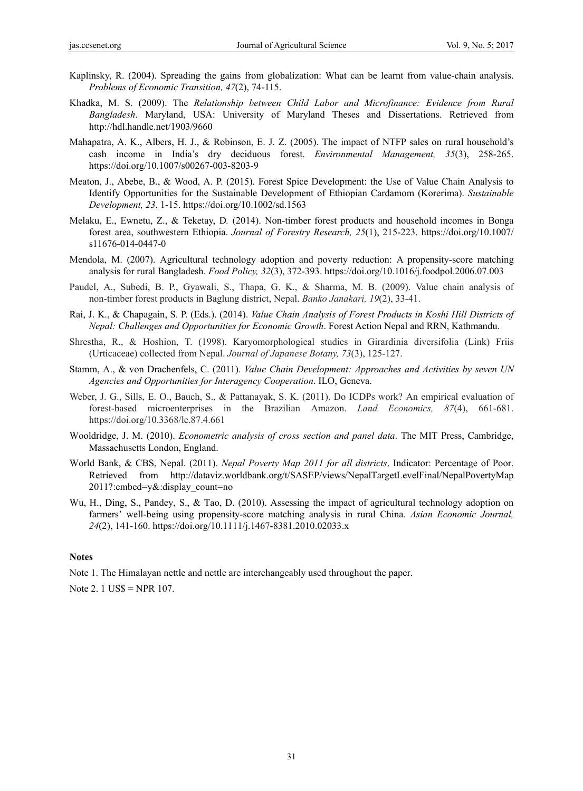- Kaplinsky, R. (2004). Spreading the gains from globalization: What can be learnt from value-chain analysis. *Problems of Economic Transition, 47*(2), 74-115.
- Khadka, M. S. (2009). The *Relationship between Child Labor and Microfinance: Evidence from Rural Bangladesh*. Maryland, USA: University of Maryland Theses and Dissertations. Retrieved from http://hdl.handle.net/1903/9660
- Mahapatra, A. K., Albers, H. J., & Robinson, E. J. Z. (2005). The impact of NTFP sales on rural household's cash income in India's dry deciduous forest. *Environmental Management, 35*(3), 258-265. https://doi.org/10.1007/s00267-003-8203-9
- Meaton, J., Abebe, B., & Wood, A. P. (2015). Forest Spice Development: the Use of Value Chain Analysis to Identify Opportunities for the Sustainable Development of Ethiopian Cardamom (Korerima). *Sustainable Development, 23*, 1-15. https://doi.org/10.1002/sd.1563
- Melaku, E., Ewnetu, Z., & Teketay, D*.* (2014). Non-timber forest products and household incomes in Bonga forest area, southwestern Ethiopia. *Journal of Forestry Research, 25*(1), 215-223. https://doi.org/10.1007/ s11676-014-0447-0
- Mendola, M. (2007). Agricultural technology adoption and poverty reduction: A propensity-score matching analysis for rural Bangladesh. *Food Policy, 32*(3), 372-393. https://doi.org/10.1016/j.foodpol.2006.07.003
- Paudel, A., Subedi, B. P., Gyawali, S., Thapa, G. K., & Sharma, M. B. (2009). Value chain analysis of non-timber forest products in Baglung district, Nepal. *Banko Janakari, 19*(2), 33-41.
- Rai, J. K., & Chapagain, S. P. (Eds.). (2014). *Value Chain Analysis of Forest Products in Koshi Hill Districts of Nepal: Challenges and Opportunities for Economic Growth*. Forest Action Nepal and RRN, Kathmandu.
- Shrestha, R., & Hoshion, T. (1998). Karyomorphological studies in Girardinia diversifolia (Link) Friis (Urticaceae) collected from Nepal. *Journal of Japanese Botany, 73*(3), 125-127.
- Stamm, A., & von Drachenfels, C. (2011). *Value Chain Development: Approaches and Activities by seven UN Agencies and Opportunities for Interagency Cooperation*. ILO, Geneva.
- Weber, J. G., Sills, E. O., Bauch, S., & Pattanayak, S. K. (2011). Do ICDPs work? An empirical evaluation of forest-based microenterprises in the Brazilian Amazon. *Land Economics, 87*(4), 661-681. https://doi.org/10.3368/le.87.4.661
- Wooldridge, J. M. (2010). *Econometric analysis of cross section and panel data*. The MIT Press, Cambridge, Massachusetts London, England.
- World Bank, & CBS, Nepal. (2011). *Nepal Poverty Map 2011 for all districts*. Indicator: Percentage of Poor. Retrieved from http://dataviz.worldbank.org/t/SASEP/views/NepalTargetLevelFinal/NepalPovertyMap 2011?:embed=y&:display\_count=no
- Wu, H., Ding, S., Pandey, S., & Tao, D. (2010). Assessing the impact of agricultural technology adoption on farmers' well-being using propensity-score matching analysis in rural China. *Asian Economic Journal, 24*(2), 141-160. https://doi.org/10.1111/j.1467-8381.2010.02033.x

#### **Notes**

Note 1. The Himalayan nettle and nettle are interchangeably used throughout the paper.

Note 2. 1 US\$ = NPR 107.